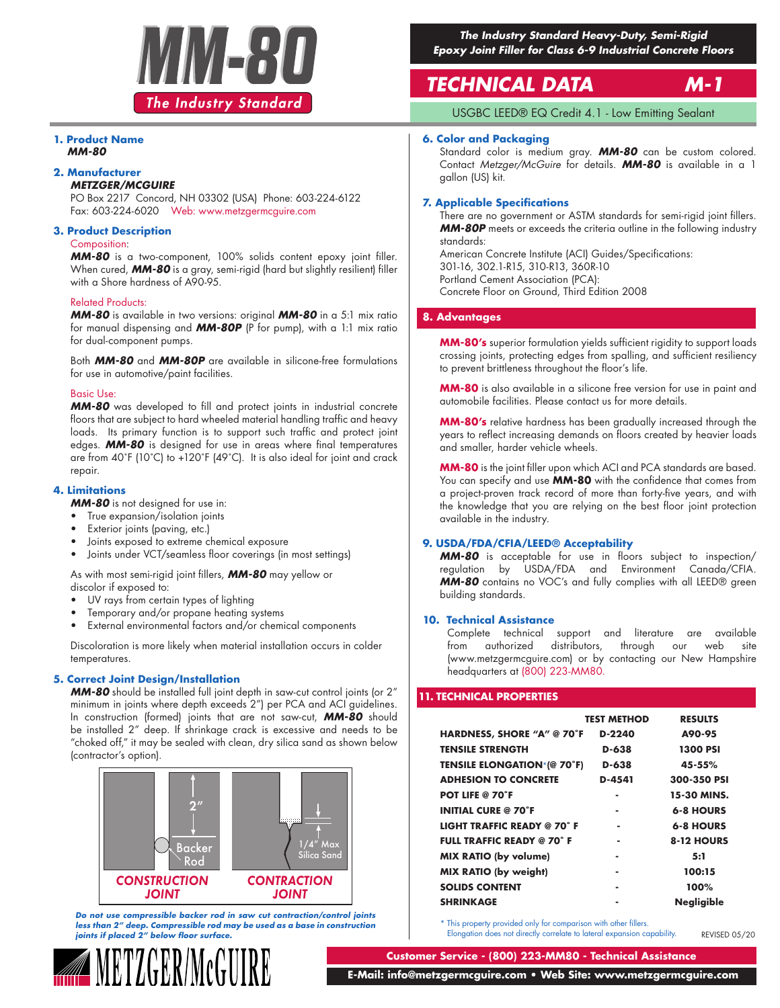

### **1. Product Name** *MM-80*

### **2. Manufacturer**

### *METZGER/MCGUIRE*

PO Box 2217 Concord, NH 03302 (USA) Phone: 603-224-6122 Fax: 603-224-6020 Web: www.metzgermcguire.com

### **3. Product Description**

### Composition:

*MM-80* is a two-component, 100% solids content epoxy joint filler. When cured, **MM-80** is a gray, semi-rigid (hard but slightly resilient) filler with a Shore hardness of A90-95.

### Related Products:

*MM-80* is available in two versions: original *MM-80* in a 5:1 mix ratio for manual dispensing and *MM-80P* (P for pump), with a 1:1 mix ratio for dual-component pumps.

Both *MM-80* and *MM-80P* are available in silicone-free formulations for use in automotive/paint facilities.

### Basic Use:

*MM-80* was developed to fill and protect joints in industrial concrete floors that are subject to hard wheeled material handling traffic and heavy loads. Its primary function is to support such traffic and protect joint edges. *MM-80* is designed for use in areas where final temperatures are from 40˚F (10˚C) to +120˚F (49˚C). It is also ideal for joint and crack repair.

### **4. Limitations**

*MM-80* is not designed for use in:

- True expansion/isolation joints
- Exterior joints (paving, etc.)
- Joints exposed to extreme chemical exposure
- Joints under VCT/seamless floor coverings (in most settings)

As with most semi-rigid joint fillers, *MM-80* may yellow or discolor if exposed to:

- UV rays from certain types of lighting
- Temporary and/or propane heating systems
- External environmental factors and/or chemical components

Discoloration is more likely when material installation occurs in colder temperatures.

### **5. Correct Joint Design/Installation**

*MM-80* should be installed full joint depth in saw-cut control joints (or 2" minimum in joints where depth exceeds 2") per PCA and ACI guidelines. In construction (formed) joints that are not saw-cut, *MM-80* should be installed 2" deep. If shrinkage crack is excessive and needs to be "choked off," it may be sealed with clean, dry silica sand as shown below (contractor's option).



*Do not use compressible backer rod in saw cut contraction/control joints less than 2" deep. Compressible rod may be used as a base in construction joints if placed 2" below floor surface.*



*The Industry Standard Heavy-Duty, Semi-Rigid Epoxy Joint Filler for Class 6-9 Industrial Concrete Floors*

# *TECHNICAL DATA M-1*

USGBC LEED® EQ Credit 4.1 - Low Emitting Sealant

### **6. Color and Packaging**

Standard color is medium gray. *MM-80* can be custom colored. Contact *Metzger/McGuire* for details. *MM-80* is available in a 1 gallon (US) kit.

### **7. Applicable Specifications**

There are no government or ASTM standards for semi-rigid joint fillers. *MM-80P* meets or exceeds the criteria outline in the following industry standards:

American Concrete Institute (ACI) Guides/Specifications: 301-16, 302.1-R15, 310-R13, 360R-10 Portland Cement Association (PCA): Concrete Floor on Ground, Third Edition 2008

### **8. Advantages**

**MM-80's** superior formulation yields sufficient rigidity to support loads crossing joints, protecting edges from spalling, and sufficient resiliency to prevent brittleness throughout the floor's life.

**MM-80** is also available in a silicone free version for use in paint and automobile facilities. Please contact us for more details.

**MM-80's** relative hardness has been gradually increased through the years to reflect increasing demands on floors created by heavier loads and smaller, harder vehicle wheels.

**MM-80** is the joint filler upon which ACI and PCA standards are based. You can specify and use **MM-80** with the confidence that comes from a project-proven track record of more than forty-five years, and with the knowledge that you are relying on the best floor joint protection available in the industry.

### **9. USDA/FDA/CFIA/LEED® Acceptability**

*MM-80* is acceptable for use in floors subject to inspection/ regulation by USDA/FDA and Environment Canada/CFIA. *MM-80* contains no VOC's and fully complies with all LEED® green building standards.

### **10. Technical Assistance**

Complete technical support and literature are available from authorized distributors, through our web site (www.metzgermcguire.com) or by contacting our New Hampshire headquarters at (800) 223-MM80.

### **11. TECHNICAL PROPERTIES**

|                                    | <b>TEST METHOD</b> | <b>RESULTS</b>    |
|------------------------------------|--------------------|-------------------|
| HARDNESS, SHORE "A" @ 70°F         | D-2240             | A90-95            |
| <b>TENSILE STRENGTH</b>            | D-638              | <b>1300 PSI</b>   |
| <b>TENSILE ELONGATION*(@ 70°F)</b> | D-638              | 45-55%            |
| <b>ADHESION TO CONCRETE</b>        | D-4541             | 300-350 PSI       |
| <b>POT LIFE @ 70°F</b>             | ۰                  | 15-30 MINS.       |
| <b>INITIAL CURE @ 70°F</b>         | ۰                  | <b>6-8 HOURS</b>  |
| <b>LIGHT TRAFFIC READY @ 70°F</b>  | ٠                  | <b>6-8 HOURS</b>  |
| <b>FULL TRAFFIC READY @ 70°F</b>   |                    | 8-12 HOURS        |
| <b>MIX RATIO (by volume)</b>       |                    | 5:1               |
| <b>MIX RATIO (by weight)</b>       | ۰                  | 100:15            |
| <b>SOLIDS CONTENT</b>              | ۰                  | 100%              |
| <b>SHRINKAGE</b>                   |                    | <b>Negligible</b> |

\* This property provided only for comparison with other fillers. Elongation does not directly correlate to lateral expansion capability.

REVISED 05/20

**Customer Service - (800) 223-MM80 - Technical Assistance**

 **E-Mail: info@metzgermcguire.com • Web Site: www.metzgermcguire.com**